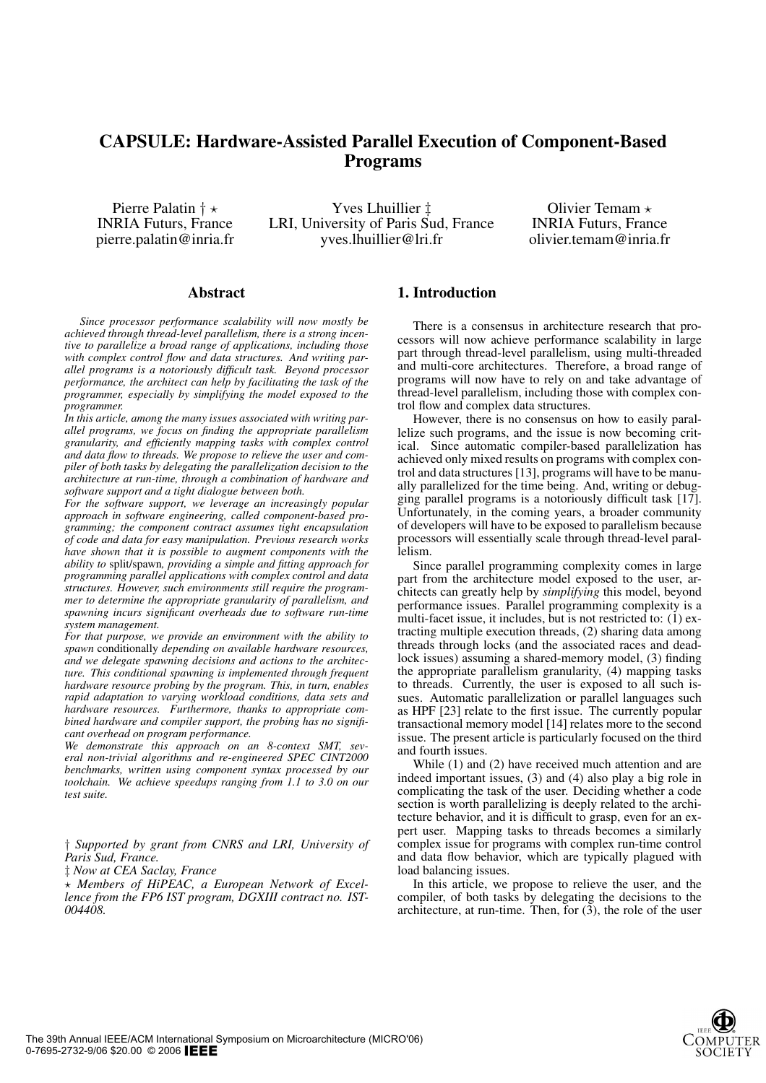# CAPSULE: Hardware-Assisted Parallel Execution of Component-Based Programs

Pierre Palatin  $\dagger \star$ INRIA Futurs, France pierre.palatin@inria.fr

Yves Lhuillier ‡ LRI, University of Paris Sud, France yves.lhuillier@lri.fr

Olivier Temam  $\star$ INRIA Futurs, France olivier.temam@inria.fr

#### Abstract

*Since processor performance scalability will now mostly be achieved through thread-level parallelism, there is a strong incentive to parallelize a broad range of applications, including those with complex control flow and data structures. And writing parallel programs is a notoriously difficult task. Beyond processor performance, the architect can help by facilitating the task of the programmer, especially by simplifying the model exposed to the programmer.*

*In this article, among the many issues associated with writing parallel programs, we focus on finding the appropriate parallelism granularity, and efficiently mapping tasks with complex control and data flow to threads. We propose to relieve the user and compiler of both tasks by delegating the parallelization decision to the architecture at run-time, through a combination of hardware and software support and a tight dialogue between both.*

*For the software support, we leverage an increasingly popular approach in software engineering, called component-based programming; the component contract assumes tight encapsulation of code and data for easy manipulation. Previous research works have shown that it is possible to augment components with the ability to* split/spawn*, providing a simple and fitting approach for programming parallel applications with complex control and data structures. However, such environments still require the programmer to determine the appropriate granularity of parallelism, and spawning incurs significant overheads due to software run-time system management.*

*For that purpose, we provide an environment with the ability to spawn* conditionally *depending on available hardware resources, and we delegate spawning decisions and actions to the architecture. This conditional spawning is implemented through frequent hardware resource probing by the program. This, in turn, enables rapid adaptation to varying workload conditions, data sets and hardware resources. Furthermore, thanks to appropriate combined hardware and compiler support, the probing has no significant overhead on program performance.*

*We demonstrate this approach on an 8-context SMT, several non-trivial algorithms and re-engineered SPEC CINT2000 benchmarks, written using component syntax processed by our toolchain. We achieve speedups ranging from 1.1 to 3.0 on our test suite.*

† *Supported by grant from CNRS and LRI, University of Paris Sud, France.*

‡ *Now at CEA Saclay, France*

⋆ *Members of HiPEAC, a European Network of Excellence from the FP6 IST program, DGXIII contract no. IST-004408.*

## 1. Introduction

There is a consensus in architecture research that processors will now achieve performance scalability in large part through thread-level parallelism, using multi-threaded and multi-core architectures. Therefore, a broad range of programs will now have to rely on and take advantage of thread-level parallelism, including those with complex control flow and complex data structures.

However, there is no consensus on how to easily parallelize such programs, and the issue is now becoming critical. Since automatic compiler-based parallelization has achieved only mixed results on programs with complex control and data structures [13], programs will have to be manually parallelized for the time being. And, writing or debugging parallel programs is a notoriously difficult task [17]. Unfortunately, in the coming years, a broader community of developers will have to be exposed to parallelism because processors will essentially scale through thread-level parallelism.

Since parallel programming complexity comes in large part from the architecture model exposed to the user, architects can greatly help by *simplifying* this model, beyond performance issues. Parallel programming complexity is a multi-facet issue, it includes, but is not restricted to:  $(i)$  extracting multiple execution threads, (2) sharing data among threads through locks (and the associated races and deadlock issues) assuming a shared-memory model, (3) finding the appropriate parallelism granularity, (4) mapping tasks to threads. Currently, the user is exposed to all such issues. Automatic parallelization or parallel languages such as HPF [23] relate to the first issue. The currently popular transactional memory model [14] relates more to the second issue. The present article is particularly focused on the third and fourth issues.

While (1) and (2) have received much attention and are indeed important issues, (3) and (4) also play a big role in complicating the task of the user. Deciding whether a code section is worth parallelizing is deeply related to the architecture behavior, and it is difficult to grasp, even for an expert user. Mapping tasks to threads becomes a similarly complex issue for programs with complex run-time control and data flow behavior, which are typically plagued with load balancing issues.

In this article, we propose to relieve the user, and the compiler, of both tasks by delegating the decisions to the architecture, at run-time. Then, for  $(3)$ , the role of the user

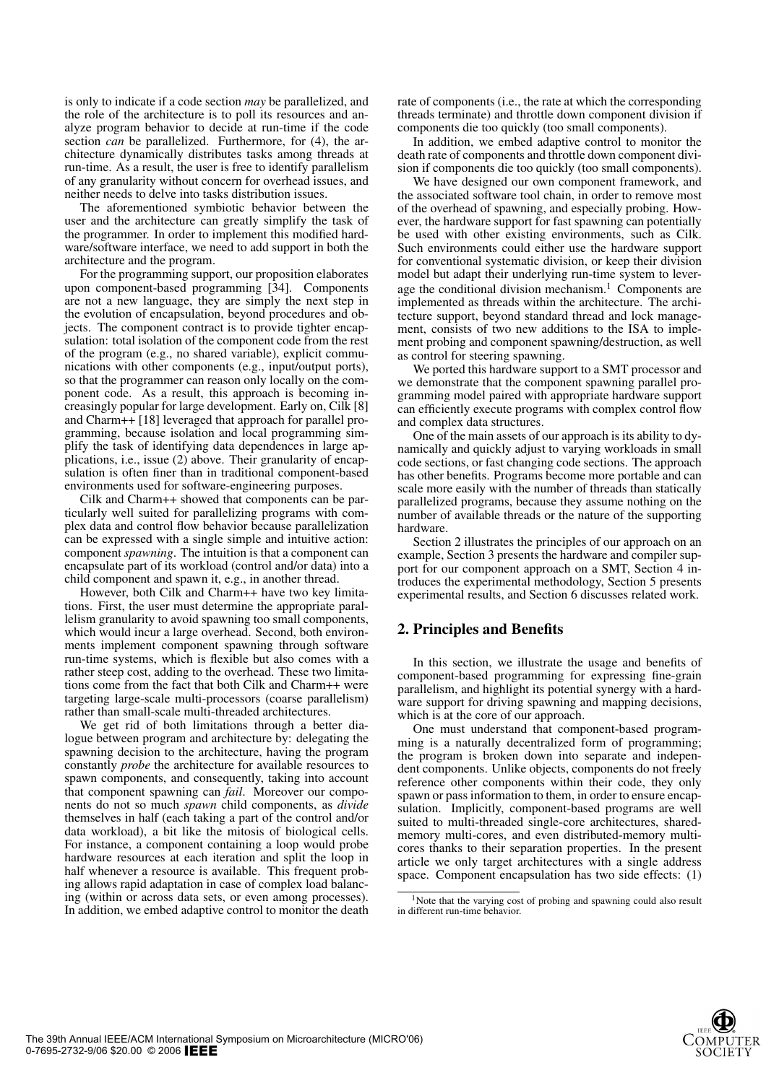is only to indicate if a code section *may* be parallelized, and the role of the architecture is to poll its resources and analyze program behavior to decide at run-time if the code section *can* be parallelized. Furthermore, for (4), the architecture dynamically distributes tasks among threads at run-time. As a result, the user is free to identify parallelism of any granularity without concern for overhead issues, and neither needs to delve into tasks distribution issues.

The aforementioned symbiotic behavior between the user and the architecture can greatly simplify the task of the programmer. In order to implement this modified hardware/software interface, we need to add support in both the architecture and the program.

For the programming support, our proposition elaborates upon component-based programming [34]. Components are not a new language, they are simply the next step in the evolution of encapsulation, beyond procedures and objects. The component contract is to provide tighter encapsulation: total isolation of the component code from the rest of the program (e.g., no shared variable), explicit communications with other components (e.g., input/output ports), so that the programmer can reason only locally on the component code. As a result, this approach is becoming increasingly popular for large development. Early on, Cilk [8] and Charm++ [18] leveraged that approach for parallel programming, because isolation and local programming simplify the task of identifying data dependences in large applications, i.e., issue (2) above. Their granularity of encapsulation is often finer than in traditional component-based environments used for software-engineering purposes.

Cilk and Charm++ showed that components can be particularly well suited for parallelizing programs with complex data and control flow behavior because parallelization can be expressed with a single simple and intuitive action: component *spawning*. The intuition is that a component can encapsulate part of its workload (control and/or data) into a child component and spawn it, e.g., in another thread.

However, both Cilk and Charm++ have two key limitations. First, the user must determine the appropriate parallelism granularity to avoid spawning too small components, which would incur a large overhead. Second, both environments implement component spawning through software run-time systems, which is flexible but also comes with a rather steep cost, adding to the overhead. These two limitations come from the fact that both Cilk and Charm++ were targeting large-scale multi-processors (coarse parallelism) rather than small-scale multi-threaded architectures.

We get rid of both limitations through a better dialogue between program and architecture by: delegating the spawning decision to the architecture, having the program constantly *probe* the architecture for available resources to spawn components, and consequently, taking into account that component spawning can *fail*. Moreover our components do not so much *spawn* child components, as *divide* themselves in half (each taking a part of the control and/or data workload), a bit like the mitosis of biological cells. For instance, a component containing a loop would probe hardware resources at each iteration and split the loop in half whenever a resource is available. This frequent probing allows rapid adaptation in case of complex load balancing (within or across data sets, or even among processes). In addition, we embed adaptive control to monitor the death rate of components (i.e., the rate at which the corresponding threads terminate) and throttle down component division if components die too quickly (too small components).

In addition, we embed adaptive control to monitor the death rate of components and throttle down component division if components die too quickly (too small components).

We have designed our own component framework, and the associated software tool chain, in order to remove most of the overhead of spawning, and especially probing. However, the hardware support for fast spawning can potentially be used with other existing environments, such as Cilk. Such environments could either use the hardware support for conventional systematic division, or keep their division model but adapt their underlying run-time system to leverage the conditional division mechanism.<sup>1</sup> Components are implemented as threads within the architecture. The architecture support, beyond standard thread and lock management, consists of two new additions to the ISA to implement probing and component spawning/destruction, as well as control for steering spawning.

We ported this hardware support to a SMT processor and we demonstrate that the component spawning parallel programming model paired with appropriate hardware support can efficiently execute programs with complex control flow and complex data structures.

One of the main assets of our approach is its ability to dynamically and quickly adjust to varying workloads in small code sections, or fast changing code sections. The approach has other benefits. Programs become more portable and can scale more easily with the number of threads than statically parallelized programs, because they assume nothing on the number of available threads or the nature of the supporting hardware.

Section 2 illustrates the principles of our approach on an example, Section 3 presents the hardware and compiler support for our component approach on a SMT, Section 4 introduces the experimental methodology, Section 5 presents experimental results, and Section 6 discusses related work.

# 2. Principles and Benefits

In this section, we illustrate the usage and benefits of component-based programming for expressing fine-grain parallelism, and highlight its potential synergy with a hardware support for driving spawning and mapping decisions, which is at the core of our approach.

One must understand that component-based programming is a naturally decentralized form of programming; the program is broken down into separate and independent components. Unlike objects, components do not freely reference other components within their code, they only spawn or pass information to them, in order to ensure encapsulation. Implicitly, component-based programs are well suited to multi-threaded single-core architectures, sharedmemory multi-cores, and even distributed-memory multicores thanks to their separation properties. In the present article we only target architectures with a single address space. Component encapsulation has two side effects: (1)

<sup>&</sup>lt;sup>1</sup>Note that the varying cost of probing and spawning could also result in different run-time behavior.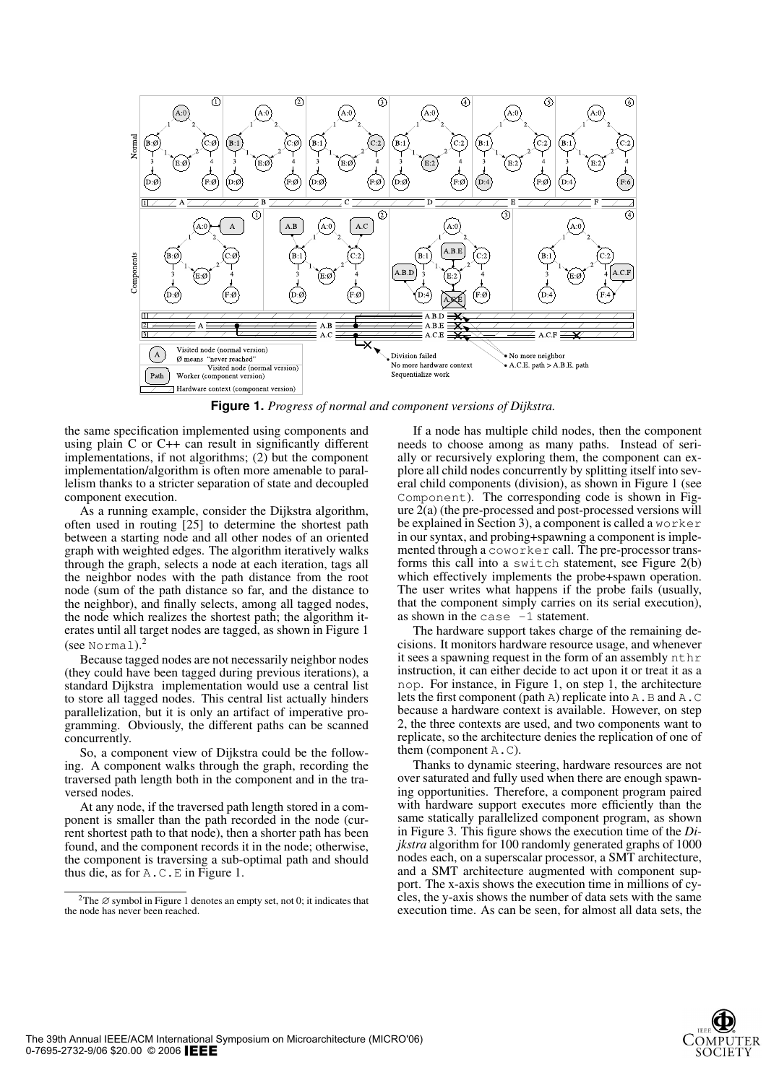

**Figure 1.** *Progress of normal and component versions of Dijkstra.*

the same specification implemented using components and using plain C or C++ can result in significantly different implementations, if not algorithms; (2) but the component implementation/algorithm is often more amenable to parallelism thanks to a stricter separation of state and decoupled component execution.

As a running example, consider the Dijkstra algorithm, often used in routing [25] to determine the shortest path between a starting node and all other nodes of an oriented graph with weighted edges. The algorithm iteratively walks through the graph, selects a node at each iteration, tags all the neighbor nodes with the path distance from the root node (sum of the path distance so far, and the distance to the neighbor), and finally selects, among all tagged nodes, the node which realizes the shortest path; the algorithm iterates until all target nodes are tagged, as shown in Figure 1 (see Normal).<sup>2</sup>

Because tagged nodes are not necessarily neighbor nodes (they could have been tagged during previous iterations), a standard Dijkstra implementation would use a central list to store all tagged nodes. This central list actually hinders parallelization, but it is only an artifact of imperative programming. Obviously, the different paths can be scanned concurrently.

So, a component view of Dijkstra could be the following. A component walks through the graph, recording the traversed path length both in the component and in the traversed nodes.

At any node, if the traversed path length stored in a component is smaller than the path recorded in the node (current shortest path to that node), then a shorter path has been found, and the component records it in the node; otherwise, the component is traversing a sub-optimal path and should thus die, as for A.C.E in Figure 1.

If a node has multiple child nodes, then the component needs to choose among as many paths. Instead of serially or recursively exploring them, the component can explore all child nodes concurrently by splitting itself into several child components (division), as shown in Figure 1 (see Component). The corresponding code is shown in Figure 2(a) (the pre-processed and post-processed versions will be explained in Section 3), a component is called a worker in our syntax, and probing+spawning a component is implemented through a coworker call. The pre-processor transforms this call into a switch statement, see Figure 2(b) which effectively implements the probe+spawn operation. The user writes what happens if the probe fails (usually, that the component simply carries on its serial execution), as shown in the case  $-1$  statement.

The hardware support takes charge of the remaining decisions. It monitors hardware resource usage, and whenever it sees a spawning request in the form of an assembly nthr instruction, it can either decide to act upon it or treat it as a nop. For instance, in Figure 1, on step 1, the architecture lets the first component (path A) replicate into A.B and A.C because a hardware context is available. However, on step 2, the three contexts are used, and two components want to replicate, so the architecture denies the replication of one of them (component  $A.C$ ).

Thanks to dynamic steering, hardware resources are not over saturated and fully used when there are enough spawning opportunities. Therefore, a component program paired with hardware support executes more efficiently than the same statically parallelized component program, as shown in Figure 3. This figure shows the execution time of the *Dijkstra* algorithm for 100 randomly generated graphs of 1000 nodes each, on a superscalar processor, a SMT architecture, and a SMT architecture augmented with component support. The x-axis shows the execution time in millions of cycles, the y-axis shows the number of data sets with the same execution time. As can be seen, for almost all data sets, the



<sup>&</sup>lt;sup>2</sup>The  $\varnothing$  symbol in Figure 1 denotes an empty set, not 0; it indicates that the node has never been reached.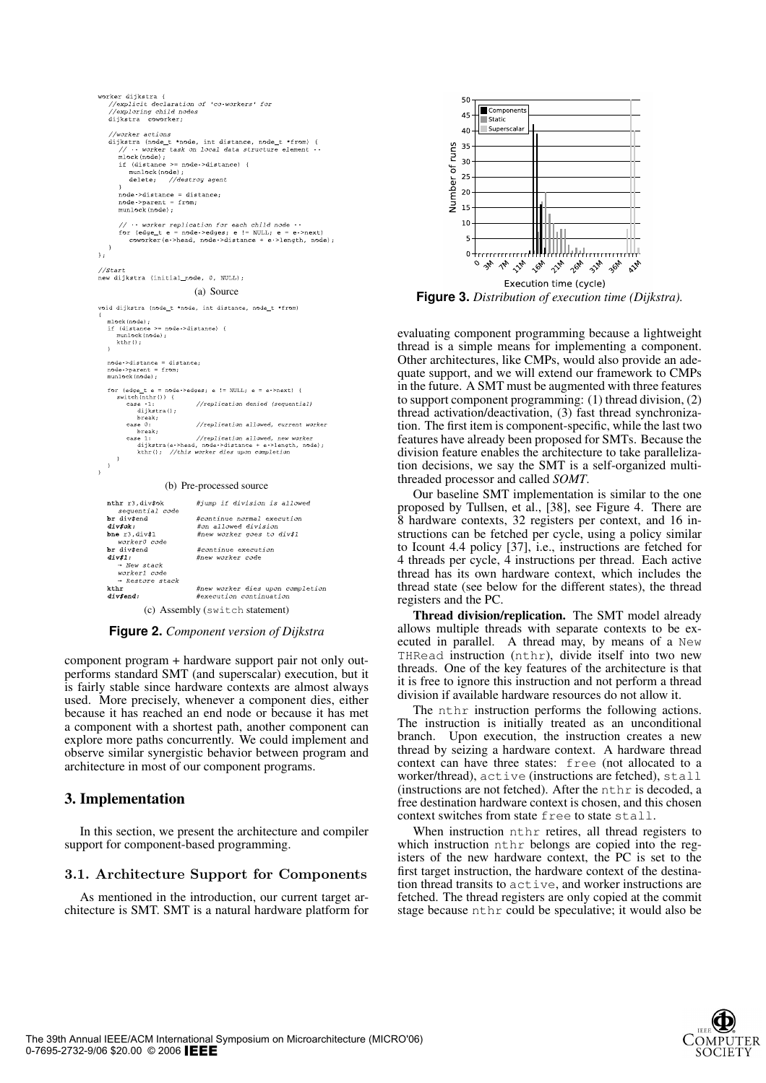```
worker dijkstra {<br>//explicit declaration of 'co-workers' for<br>//exploring child nodes<br>dijkstra coworker;
     //worker actions<br>dijkstra (node_t *node, int distance, node_t *from) {<br>// ...worker task on local data structure element ...<br>mlock(node):
          mlock(node);<br>if (distance >= node->distance) {
               munlock(node);<br>delete; //destroy agent
          %<br>node->distance = distance;<br>node->parent = from;<br>munlock(node);
                      worker replication for each child node<br>edge_t e = node->edges; e != NULL; e = e->next)
           for (edge_t e = node >edges; e != NULL; e = e >next)<br>coworker(e >head, node >distance + e >length, node);
\mathbf{1}//Start<br>new dijkstra (initial_node, 0, NULL);
                                               (a) Source
void dijkstra (node t *node, int distance, node t *from)
    mlock(node);<br>if (distance >= node->distance) {<br>munlock(node);<br>kthr();
    node->distance = distance;<br>node->parent = from;<br>munlock(node);
    for (edge_t e = node->edges; e != NULL; e = e->next) {<br>switch(nthr()) {<br>\cos \theta = 1: //replication denied (sequenti
              \begin{array}{ll}\n\text{case} & \text{-}1: \\
\text{dijkstra}() & \text{...}\n\end{array}//replication denied (sequential)
                      - 9
                                                 //replication allowed, current worker
              case
                   break;
                   preak;<br>se l: //replication allowed, new worker<br>dijkstra(e->head, node->distance + e->length, node);<br>kthr(); //this worker dies upon completion
              case 1
\mathbf{r}(b) Pre-processed source
                                                 #jump if division is allowed
    nthr r3, div$ok
    sequential code<br>br div$end
                                                  frontinue normal execution
    BI div$end<br>div$ok:<br>bne r3,div$1<br>worker0 code<br>br div$end
                                                  #continue normal execution<br>#on allowed division<br>#new worker goes to div$1
                                                   #continue execution
                                                  #new worker code
    div$1:ei.<br>• New stack
          worker1 code<br>→ Restore stack
     k<sub>th</sub>
```
#new worker dies upon completion<br>#execution continuation (c) Assembly (switch statement)



component program + hardware support pair not only outperforms standard SMT (and superscalar) execution, but it is fairly stable since hardware contexts are almost always used. More precisely, whenever a component dies, either because it has reached an end node or because it has met a component with a shortest path, another component can explore more paths concurrently. We could implement and observe similar synergistic behavior between program and architecture in most of our component programs.

# 3. Implementation

div\$end:

In this section, we present the architecture and compiler support for component-based programming.

#### 3.1. Architecture Support for Components

As mentioned in the introduction, our current target architecture is SMT. SMT is a natural hardware platform for



**Figure 3.** *Distribution of execution time (Dijkstra).*

evaluating component programming because a lightweight thread is a simple means for implementing a component. Other architectures, like CMPs, would also provide an adequate support, and we will extend our framework to CMPs in the future. A SMT must be augmented with three features to support component programming: (1) thread division, (2) thread activation/deactivation, (3) fast thread synchronization. The first item is component-specific, while the last two features have already been proposed for SMTs. Because the division feature enables the architecture to take parallelization decisions, we say the SMT is a self-organized multithreaded processor and called *SOMT*.

Our baseline SMT implementation is similar to the one proposed by Tullsen, et al., [38], see Figure 4. There are 8 hardware contexts, 32 registers per context, and 16 instructions can be fetched per cycle, using a policy similar to Icount 4.4 policy [37], i.e., instructions are fetched for 4 threads per cycle, 4 instructions per thread. Each active thread has its own hardware context, which includes the thread state (see below for the different states), the thread registers and the PC.

Thread division/replication. The SMT model already allows multiple threads with separate contexts to be executed in parallel. A thread may, by means of a New THRead instruction (nthr), divide itself into two new threads. One of the key features of the architecture is that it is free to ignore this instruction and not perform a thread division if available hardware resources do not allow it.

The nthr instruction performs the following actions. The instruction is initially treated as an unconditional branch. Upon execution, the instruction creates a new thread by seizing a hardware context. A hardware thread context can have three states: free (not allocated to a worker/thread), active (instructions are fetched), stall (instructions are not fetched). After the nthr is decoded, a free destination hardware context is chosen, and this chosen context switches from state free to state stall.

When instruction nthr retires, all thread registers to which instruction nthr belongs are copied into the registers of the new hardware context, the PC is set to the first target instruction, the hardware context of the destination thread transits to active, and worker instructions are fetched. The thread registers are only copied at the commit stage because nthr could be speculative; it would also be

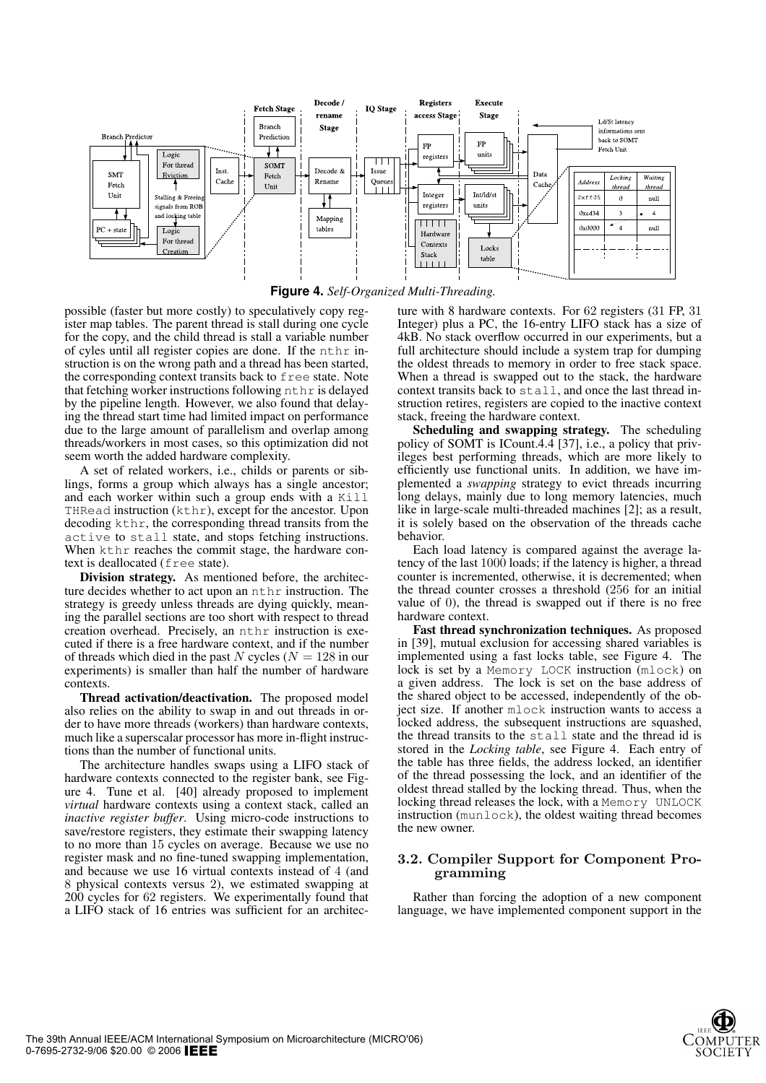

**Figure 4.** *Self-Organized Multi-Threading.*

possible (faster but more costly) to speculatively copy register map tables. The parent thread is stall during one cycle for the copy, and the child thread is stall a variable number of cyles until all register copies are done. If the nthr instruction is on the wrong path and a thread has been started, the corresponding context transits back to free state. Note that fetching worker instructions following nthr is delayed by the pipeline length. However, we also found that delaying the thread start time had limited impact on performance due to the large amount of parallelism and overlap among threads/workers in most cases, so this optimization did not seem worth the added hardware complexity.

A set of related workers, i.e., childs or parents or siblings, forms a group which always has a single ancestor; and each worker within such a group ends with a Kill THRead instruction (kthr), except for the ancestor. Upon decoding kthr, the corresponding thread transits from the active to stall state, and stops fetching instructions. When kthr reaches the commit stage, the hardware context is deallocated (free state).

Division strategy. As mentioned before, the architecture decides whether to act upon an nthr instruction. The strategy is greedy unless threads are dying quickly, meaning the parallel sections are too short with respect to thread creation overhead. Precisely, an nthr instruction is executed if there is a free hardware context, and if the number of threads which died in the past N cycles ( $N = 128$  in our experiments) is smaller than half the number of hardware contexts.

Thread activation/deactivation. The proposed model also relies on the ability to swap in and out threads in order to have more threads (workers) than hardware contexts, much like a superscalar processor has more in-flight instructions than the number of functional units.

The architecture handles swaps using a LIFO stack of hardware contexts connected to the register bank, see Figure 4. Tune et al. [40] already proposed to implement *virtual* hardware contexts using a context stack, called an *inactive register buffer*. Using micro-code instructions to save/restore registers, they estimate their swapping latency to no more than 15 cycles on average. Because we use no register mask and no fine-tuned swapping implementation, and because we use 16 virtual contexts instead of 4 (and 8 physical contexts versus 2), we estimated swapping at 200 cycles for 62 registers. We experimentally found that a LIFO stack of 16 entries was sufficient for an architecture with 8 hardware contexts. For 62 registers (31 FP, 31 Integer) plus a PC, the 16-entry LIFO stack has a size of 4kB. No stack overflow occurred in our experiments, but a full architecture should include a system trap for dumping the oldest threads to memory in order to free stack space. When a thread is swapped out to the stack, the hardware context transits back to stall, and once the last thread instruction retires, registers are copied to the inactive context stack, freeing the hardware context.

Scheduling and swapping strategy. The scheduling policy of SOMT is ICount.4.4 [37], i.e., a policy that privileges best performing threads, which are more likely to efficiently use functional units. In addition, we have implemented a *swapping* strategy to evict threads incurring long delays, mainly due to long memory latencies, much like in large-scale multi-threaded machines [2]; as a result, it is solely based on the observation of the threads cache behavior.

Each load latency is compared against the average latency of the last 1000 loads; if the latency is higher, a thread counter is incremented, otherwise, it is decremented; when the thread counter crosses a threshold (256 for an initial value of 0), the thread is swapped out if there is no free hardware context.

Fast thread synchronization techniques. As proposed in [39], mutual exclusion for accessing shared variables is implemented using a fast locks table, see Figure 4. The lock is set by a Memory LOCK instruction (mlock) on a given address. The lock is set on the base address of the shared object to be accessed, independently of the object size. If another mlock instruction wants to access a locked address, the subsequent instructions are squashed, the thread transits to the stall state and the thread id is stored in the *Locking table*, see Figure 4. Each entry of the table has three fields, the address locked, an identifier of the thread possessing the lock, and an identifier of the oldest thread stalled by the locking thread. Thus, when the locking thread releases the lock, with a Memory UNLOCK instruction (munlock), the oldest waiting thread becomes the new owner.

#### 3.2. Compiler Support for Component Programming

Rather than forcing the adoption of a new component language, we have implemented component support in the

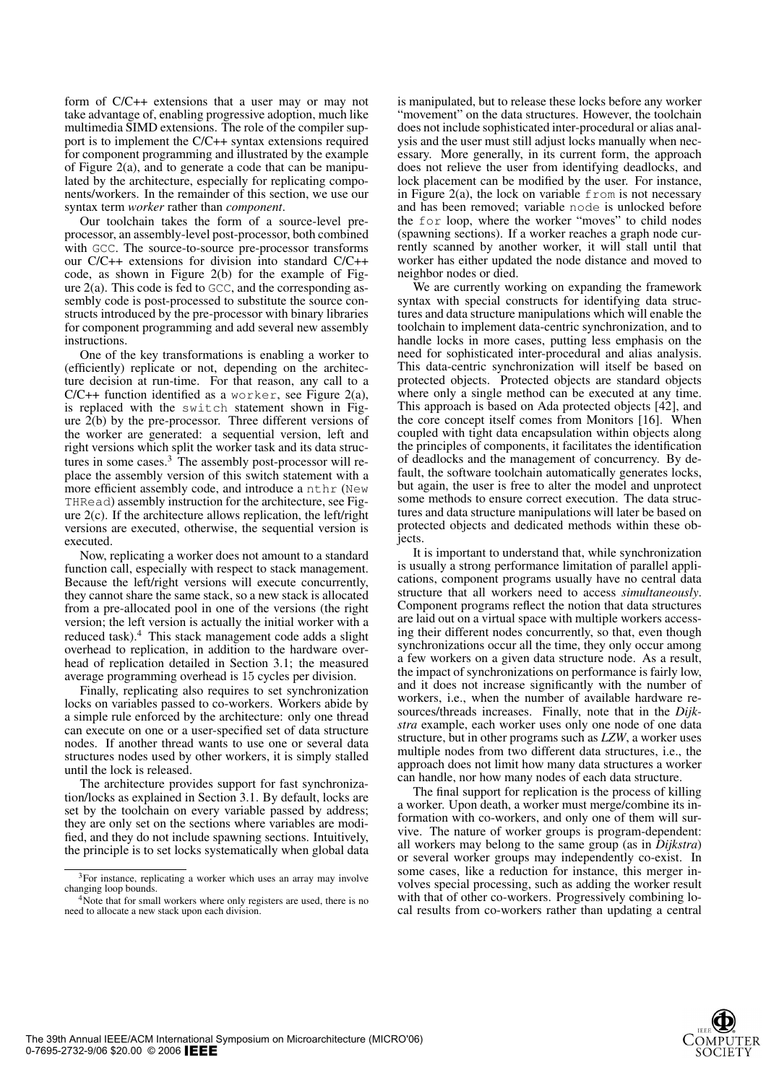form of C/C++ extensions that a user may or may not take advantage of, enabling progressive adoption, much like multimedia SIMD extensions. The role of the compiler support is to implement the C/C++ syntax extensions required for component programming and illustrated by the example of Figure 2(a), and to generate a code that can be manipulated by the architecture, especially for replicating components/workers. In the remainder of this section, we use our syntax term *worker* rather than *component*.

Our toolchain takes the form of a source-level preprocessor, an assembly-level post-processor, both combined with GCC. The source-to-source pre-processor transforms our C/C++ extensions for division into standard C/C++ code, as shown in Figure 2(b) for the example of Figure  $2(a)$ . This code is fed to  $GCC$ , and the corresponding assembly code is post-processed to substitute the source constructs introduced by the pre-processor with binary libraries for component programming and add several new assembly instructions.

One of the key transformations is enabling a worker to (efficiently) replicate or not, depending on the architecture decision at run-time. For that reason, any call to a  $C/C++$  function identified as a worker, see Figure 2(a), is replaced with the switch statement shown in Figure 2(b) by the pre-processor. Three different versions of the worker are generated: a sequential version, left and right versions which split the worker task and its data structures in some cases.<sup>3</sup> The assembly post-processor will replace the assembly version of this switch statement with a more efficient assembly code, and introduce a nthr (New THRead) assembly instruction for the architecture, see Figure  $2(c)$ . If the architecture allows replication, the left/right versions are executed, otherwise, the sequential version is executed.

Now, replicating a worker does not amount to a standard function call, especially with respect to stack management. Because the left/right versions will execute concurrently, they cannot share the same stack, so a new stack is allocated from a pre-allocated pool in one of the versions (the right version; the left version is actually the initial worker with a reduced task).<sup>4</sup> This stack management code adds a slight overhead to replication, in addition to the hardware overhead of replication detailed in Section 3.1; the measured average programming overhead is 15 cycles per division.

Finally, replicating also requires to set synchronization locks on variables passed to co-workers. Workers abide by a simple rule enforced by the architecture: only one thread can execute on one or a user-specified set of data structure nodes. If another thread wants to use one or several data structures nodes used by other workers, it is simply stalled until the lock is released.

The architecture provides support for fast synchronization/locks as explained in Section 3.1. By default, locks are set by the toolchain on every variable passed by address; they are only set on the sections where variables are modified, and they do not include spawning sections. Intuitively, the principle is to set locks systematically when global data is manipulated, but to release these locks before any worker "movement" on the data structures. However, the toolchain does not include sophisticated inter-procedural or alias analysis and the user must still adjust locks manually when necessary. More generally, in its current form, the approach does not relieve the user from identifying deadlocks, and lock placement can be modified by the user. For instance, in Figure 2(a), the lock on variable  $f$  rom is not necessary and has been removed; variable node is unlocked before the for loop, where the worker "moves" to child nodes (spawning sections). If a worker reaches a graph node currently scanned by another worker, it will stall until that worker has either updated the node distance and moved to neighbor nodes or died.

We are currently working on expanding the framework syntax with special constructs for identifying data structures and data structure manipulations which will enable the toolchain to implement data-centric synchronization, and to handle locks in more cases, putting less emphasis on the need for sophisticated inter-procedural and alias analysis. This data-centric synchronization will itself be based on protected objects. Protected objects are standard objects where only a single method can be executed at any time. This approach is based on Ada protected objects [42], and the core concept itself comes from Monitors [16]. When coupled with tight data encapsulation within objects along the principles of components, it facilitates the identification of deadlocks and the management of concurrency. By default, the software toolchain automatically generates locks, but again, the user is free to alter the model and unprotect some methods to ensure correct execution. The data structures and data structure manipulations will later be based on protected objects and dedicated methods within these objects.

It is important to understand that, while synchronization is usually a strong performance limitation of parallel applications, component programs usually have no central data structure that all workers need to access *simultaneously*. Component programs reflect the notion that data structures are laid out on a virtual space with multiple workers accessing their different nodes concurrently, so that, even though synchronizations occur all the time, they only occur among a few workers on a given data structure node. As a result, the impact of synchronizations on performance is fairly low, and it does not increase significantly with the number of workers, i.e., when the number of available hardware resources/threads increases. Finally, note that in the *Dijkstra* example, each worker uses only one node of one data structure, but in other programs such as *LZW*, a worker uses multiple nodes from two different data structures, i.e., the approach does not limit how many data structures a worker can handle, nor how many nodes of each data structure.

The final support for replication is the process of killing a worker. Upon death, a worker must merge/combine its information with co-workers, and only one of them will survive. The nature of worker groups is program-dependent: all workers may belong to the same group (as in *Dijkstra*) or several worker groups may independently co-exist. In some cases, like a reduction for instance, this merger involves special processing, such as adding the worker result with that of other co-workers. Progressively combining local results from co-workers rather than updating a central



 $3$ For instance, replicating a worker which uses an array may involve changing loop bounds.

<sup>&</sup>lt;sup>4</sup>Note that for small workers where only registers are used, there is no need to allocate a new stack upon each division.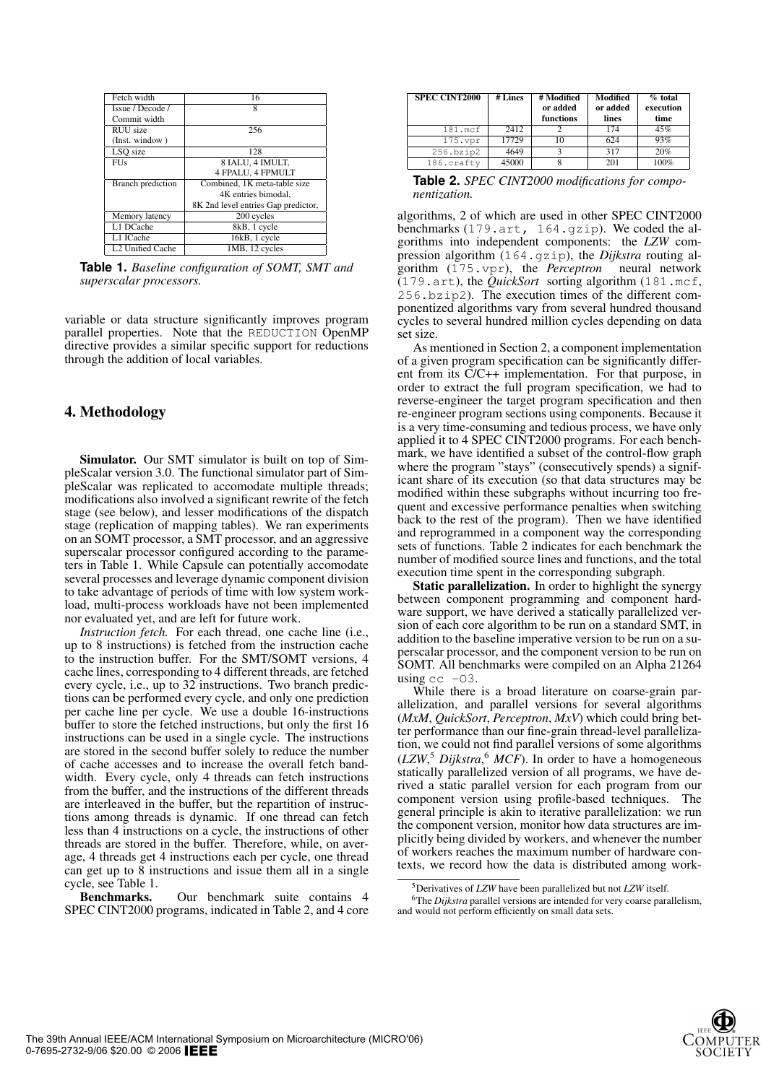| Fetch width              | 16                                  |  |  |
|--------------------------|-------------------------------------|--|--|
| Issue / Decode /         | 8                                   |  |  |
| Commit width             |                                     |  |  |
| RUU size                 | 256                                 |  |  |
| (Inst. window)           |                                     |  |  |
| LSO size                 | 128                                 |  |  |
| <b>FUs</b>               | 8 IALU, 4 IMULT.                    |  |  |
|                          | 4 FPALU, 4 FPMULT                   |  |  |
| <b>Branch prediction</b> | Combined, 1K meta-table size        |  |  |
|                          | 4K entries bimodal,                 |  |  |
|                          | 8K 2nd level entries Gap predictor, |  |  |
| Memory latency           | 200 cycles                          |  |  |
| L1 DCache                | 8kB, 1 cycle                        |  |  |
| L1 ICache                | 16kB, 1 cycle                       |  |  |
| L2 Unified Cache         | 1MB, 12 cycles                      |  |  |

**Table 1.** *Baseline configuration of SOMT, SMT and superscalar processors.*

variable or data structure significantly improves program parallel properties. Note that the REDUCTION OpenMP directive provides a similar specific support for reductions through the addition of local variables.

## 4. Methodology

Simulator. Our SMT simulator is built on top of SimpleScalar version 3.0. The functional simulator part of SimpleScalar was replicated to accomodate multiple threads; modifications also involved a significant rewrite of the fetch stage (see below), and lesser modifications of the dispatch stage (replication of mapping tables). We ran experiments on an SOMT processor, a SMT processor, and an aggressive superscalar processor configured according to the parameters in Table 1. While Capsule can potentially accomodate several processes and leverage dynamic component division to take advantage of periods of time with low system workload, multi-process workloads have not been implemented nor evaluated yet, and are left for future work.

*Instruction fetch.* For each thread, one cache line (i.e., up to 8 instructions) is fetched from the instruction cache to the instruction buffer. For the SMT/SOMT versions, 4 cache lines, corresponding to 4 different threads, are fetched every cycle, i.e., up to 32 instructions. Two branch predictions can be performed every cycle, and only one prediction per cache line per cycle. We use a double 16-instructions buffer to store the fetched instructions, but only the first 16 instructions can be used in a single cycle. The instructions are stored in the second buffer solely to reduce the number of cache accesses and to increase the overall fetch bandwidth. Every cycle, only 4 threads can fetch instructions from the buffer, and the instructions of the different threads are interleaved in the buffer, but the repartition of instructions among threads is dynamic. If one thread can fetch less than 4 instructions on a cycle, the instructions of other threads are stored in the buffer. Therefore, while, on average, 4 threads get 4 instructions each per cycle, one thread can get up to 8 instructions and issue them all in a single cycle, see Table 1.

Benchmarks. Our benchmark suite contains 4 SPEC CINT2000 programs, indicated in Table 2, and 4 core

| <b>SPEC CINT2000</b> | # Lines | # Modified<br>or added<br>functions | Modified<br>or added<br>lines | $%$ total<br>execution<br>time |
|----------------------|---------|-------------------------------------|-------------------------------|--------------------------------|
| $181$ . $mcf$        | 2412    |                                     | 174                           | 45%                            |
| 175. vpr             | 17729   | 10                                  | 624                           | 93%                            |
| $256.$ bzip $2$      | 4649    |                                     | 317                           | 20%                            |
| 186.crafty           | 45000   |                                     | 201                           | 100%                           |

**Table 2.** *SPEC CINT2000 modifications for componentization.*

algorithms, 2 of which are used in other SPEC CINT2000 benchmarks (179.art, 164.gzip). We coded the algorithms into independent components: the *LZW* compression algorithm (164.gzip), the *Dijkstra* routing algorithm (175.vpr), the *Perceptron* neural network (179.art), the *QuickSort* sorting algorithm (181.mcf, 256.bzip2). The execution times of the different componentized algorithms vary from several hundred thousand cycles to several hundred million cycles depending on data set size.

As mentioned in Section 2, a component implementation of a given program specification can be significantly different from its C/C++ implementation. For that purpose, in order to extract the full program specification, we had to reverse-engineer the target program specification and then re-engineer program sections using components. Because it is a very time-consuming and tedious process, we have only applied it to 4 SPEC CINT2000 programs. For each benchmark, we have identified a subset of the control-flow graph where the program "stays" (consecutively spends) a significant share of its execution (so that data structures may be modified within these subgraphs without incurring too frequent and excessive performance penalties when switching back to the rest of the program). Then we have identified and reprogrammed in a component way the corresponding sets of functions. Table 2 indicates for each benchmark the number of modified source lines and functions, and the total execution time spent in the corresponding subgraph.

Static parallelization. In order to highlight the synergy between component programming and component hardware support, we have derived a statically parallelized version of each core algorithm to be run on a standard SMT, in addition to the baseline imperative version to be run on a superscalar processor, and the component version to be run on SOMT. All benchmarks were compiled on an Alpha 21264 using  $cc$  -03.

While there is a broad literature on coarse-grain parallelization, and parallel versions for several algorithms (*MxM*, *QuickSort*, *Perceptron*, *MxV*) which could bring better performance than our fine-grain thread-level parallelization, we could not find parallel versions of some algorithms (*LZW*, <sup>5</sup> *Dijkstra*, <sup>6</sup> *MCF*). In order to have a homogeneous statically parallelized version of all programs, we have derived a static parallel version for each program from our component version using profile-based techniques. The general principle is akin to iterative parallelization: we run the component version, monitor how data structures are implicitly being divided by workers, and whenever the number of workers reaches the maximum number of hardware contexts, we record how the data is distributed among work-



<sup>5</sup>Derivatives of *LZW* have been parallelized but not *LZW* itself.

<sup>6</sup>The *Dijkstra* parallel versions are intended for very coarse parallelism, and would not perform efficiently on small data sets.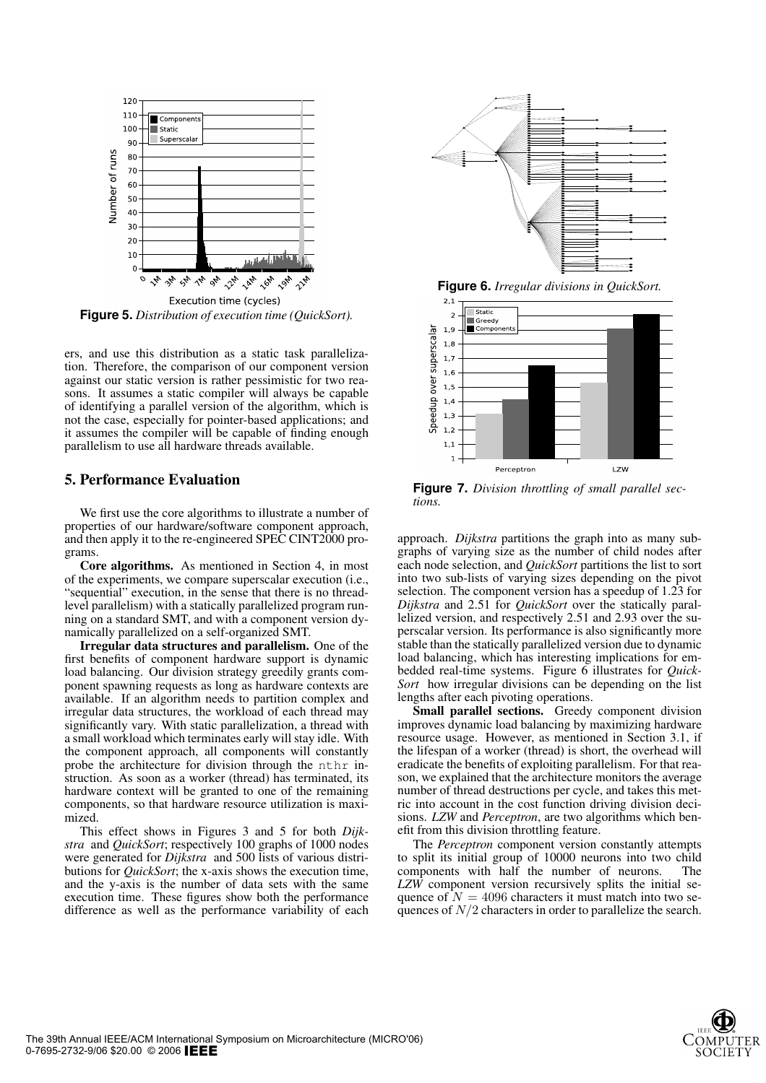

**Figure 5.** *Distribution of execution time (QuickSort).*

ers, and use this distribution as a static task parallelization. Therefore, the comparison of our component version against our static version is rather pessimistic for two reasons. It assumes a static compiler will always be capable of identifying a parallel version of the algorithm, which is not the case, especially for pointer-based applications; and it assumes the compiler will be capable of finding enough parallelism to use all hardware threads available.

#### 5. Performance Evaluation

We first use the core algorithms to illustrate a number of properties of our hardware/software component approach, and then apply it to the re-engineered SPEC CINT2000 programs.

Core algorithms. As mentioned in Section 4, in most of the experiments, we compare superscalar execution (i.e., 's equential'' execution, in the sense that there is no threadlevel parallelism) with a statically parallelized program running on a standard SMT, and with a component version dynamically parallelized on a self-organized SMT.

Irregular data structures and parallelism. One of the first benefits of component hardware support is dynamic load balancing. Our division strategy greedily grants component spawning requests as long as hardware contexts are available. If an algorithm needs to partition complex and irregular data structures, the workload of each thread may significantly vary. With static parallelization, a thread with a small workload which terminates early will stay idle. With the component approach, all components will constantly probe the architecture for division through the nthr instruction. As soon as a worker (thread) has terminated, its hardware context will be granted to one of the remaining components, so that hardware resource utilization is maximized.

This effect shows in Figures 3 and 5 for both *Dijkstra* and *QuickSort*; respectively 100 graphs of 1000 nodes were generated for *Dijkstra* and 500 lists of various distributions for *QuickSort*; the x-axis shows the execution time, and the y-axis is the number of data sets with the same execution time. These figures show both the performance difference as well as the performance variability of each



**Figure 6.** *Irregular divisions in QuickSort.*



**Figure 7.** *Division throttling of small parallel sections.*

approach. *Dijkstra* partitions the graph into as many subgraphs of varying size as the number of child nodes after each node selection, and *QuickSort* partitions the list to sort into two sub-lists of varying sizes depending on the pivot selection. The component version has a speedup of 1.23 for *Dijkstra* and 2.51 for *QuickSort* over the statically parallelized version, and respectively 2.51 and 2.93 over the superscalar version. Its performance is also significantly more stable than the statically parallelized version due to dynamic load balancing, which has interesting implications for embedded real-time systems. Figure 6 illustrates for *Quick-Sort* how irregular divisions can be depending on the list lengths after each pivoting operations.

Small parallel sections. Greedy component division improves dynamic load balancing by maximizing hardware resource usage. However, as mentioned in Section 3.1, if the lifespan of a worker (thread) is short, the overhead will eradicate the benefits of exploiting parallelism. For that reason, we explained that the architecture monitors the average number of thread destructions per cycle, and takes this metric into account in the cost function driving division decisions. *LZW* and *Perceptron*, are two algorithms which benefit from this division throttling feature.

The *Perceptron* component version constantly attempts to split its initial group of 10000 neurons into two child components with half the number of neurons. The *LZW* component version recursively splits the initial sequence of  $N = 4096$  characters it must match into two sequences of  $N/2$  characters in order to parallelize the search.

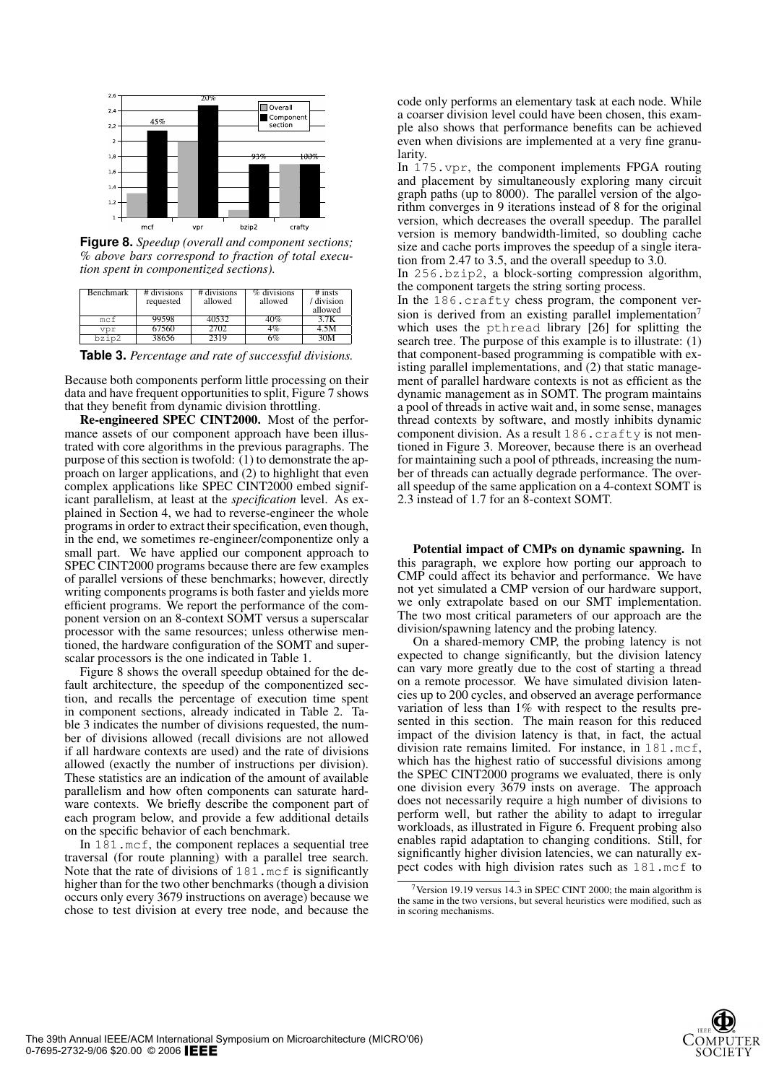

**Figure 8.** *Speedup (overall and component sections; % above bars correspond to fraction of total execution spent in componentized sections).*

| Benchmark | # divisions<br>requested | # divisions<br>allowed | % divisions<br>allowed | $#$ insts<br>/ division<br>allowed |
|-----------|--------------------------|------------------------|------------------------|------------------------------------|
| mcf       | 99598                    | 40532                  | 40%                    | 3.7K                               |
| vpr       | 67560                    | 2702                   | $4\%$                  | +.5M                               |
| bzip2     | 38656                    | 2319                   | 5%                     | 30M                                |

**Table 3.** *Percentage and rate of successful divisions.*

Because both components perform little processing on their data and have frequent opportunities to split, Figure 7 shows that they benefit from dynamic division throttling.

Re-engineered SPEC CINT2000. Most of the performance assets of our component approach have been illustrated with core algorithms in the previous paragraphs. The purpose of this section is twofold: (1) to demonstrate the approach on larger applications, and (2) to highlight that even complex applications like SPEC CINT2000 embed significant parallelism, at least at the *specification* level. As explained in Section 4, we had to reverse-engineer the whole programs in order to extract their specification, even though, in the end, we sometimes re-engineer/componentize only a small part. We have applied our component approach to SPEC CINT2000 programs because there are few examples of parallel versions of these benchmarks; however, directly writing components programs is both faster and yields more efficient programs. We report the performance of the component version on an 8-context SOMT versus a superscalar processor with the same resources; unless otherwise mentioned, the hardware configuration of the SOMT and superscalar processors is the one indicated in Table 1.

Figure 8 shows the overall speedup obtained for the default architecture, the speedup of the componentized section, and recalls the percentage of execution time spent in component sections, already indicated in Table 2. Table 3 indicates the number of divisions requested, the number of divisions allowed (recall divisions are not allowed if all hardware contexts are used) and the rate of divisions allowed (exactly the number of instructions per division). These statistics are an indication of the amount of available parallelism and how often components can saturate hardware contexts. We briefly describe the component part of each program below, and provide a few additional details on the specific behavior of each benchmark.

In 181.mcf, the component replaces a sequential tree traversal (for route planning) with a parallel tree search. Note that the rate of divisions of 181.mcf is significantly higher than for the two other benchmarks (though a division occurs only every 3679 instructions on average) because we chose to test division at every tree node, and because the code only performs an elementary task at each node. While a coarser division level could have been chosen, this example also shows that performance benefits can be achieved even when divisions are implemented at a very fine granularity.

In 175.vpr, the component implements FPGA routing and placement by simultaneously exploring many circuit graph paths (up to 8000). The parallel version of the algorithm converges in 9 iterations instead of 8 for the original version, which decreases the overall speedup. The parallel version is memory bandwidth-limited, so doubling cache size and cache ports improves the speedup of a single iteration from 2.47 to 3.5, and the overall speedup to 3.0.

In 256.bzip2, a block-sorting compression algorithm, the component targets the string sorting process.

In the 186.crafty chess program, the component version is derived from an existing parallel implementation<sup>7</sup> which uses the pthread library [26] for splitting the search tree. The purpose of this example is to illustrate: (1) that component-based programming is compatible with existing parallel implementations, and (2) that static management of parallel hardware contexts is not as efficient as the dynamic management as in SOMT. The program maintains a pool of threads in active wait and, in some sense, manages thread contexts by software, and mostly inhibits dynamic component division. As a result 186. crafty is not mentioned in Figure 3. Moreover, because there is an overhead for maintaining such a pool of pthreads, increasing the number of threads can actually degrade performance. The overall speedup of the same application on a 4-context SOMT is 2.3 instead of 1.7 for an 8-context SOMT.

Potential impact of CMPs on dynamic spawning. In this paragraph, we explore how porting our approach to CMP could affect its behavior and performance. We have not yet simulated a CMP version of our hardware support, we only extrapolate based on our SMT implementation. The two most critical parameters of our approach are the division/spawning latency and the probing latency.

On a shared-memory CMP, the probing latency is not expected to change significantly, but the division latency can vary more greatly due to the cost of starting a thread on a remote processor. We have simulated division latencies up to 200 cycles, and observed an average performance variation of less than 1% with respect to the results presented in this section. The main reason for this reduced impact of the division latency is that, in fact, the actual division rate remains limited. For instance, in 181.mcf, which has the highest ratio of successful divisions among the SPEC CINT2000 programs we evaluated, there is only one division every 3679 insts on average. The approach does not necessarily require a high number of divisions to perform well, but rather the ability to adapt to irregular workloads, as illustrated in Figure 6. Frequent probing also enables rapid adaptation to changing conditions. Still, for significantly higher division latencies, we can naturally expect codes with high division rates such as 181.mcf to

Version 19.19 versus 14.3 in SPEC CINT 2000; the main algorithm is the same in the two versions, but several heuristics were modified, such as in scoring mechanisms.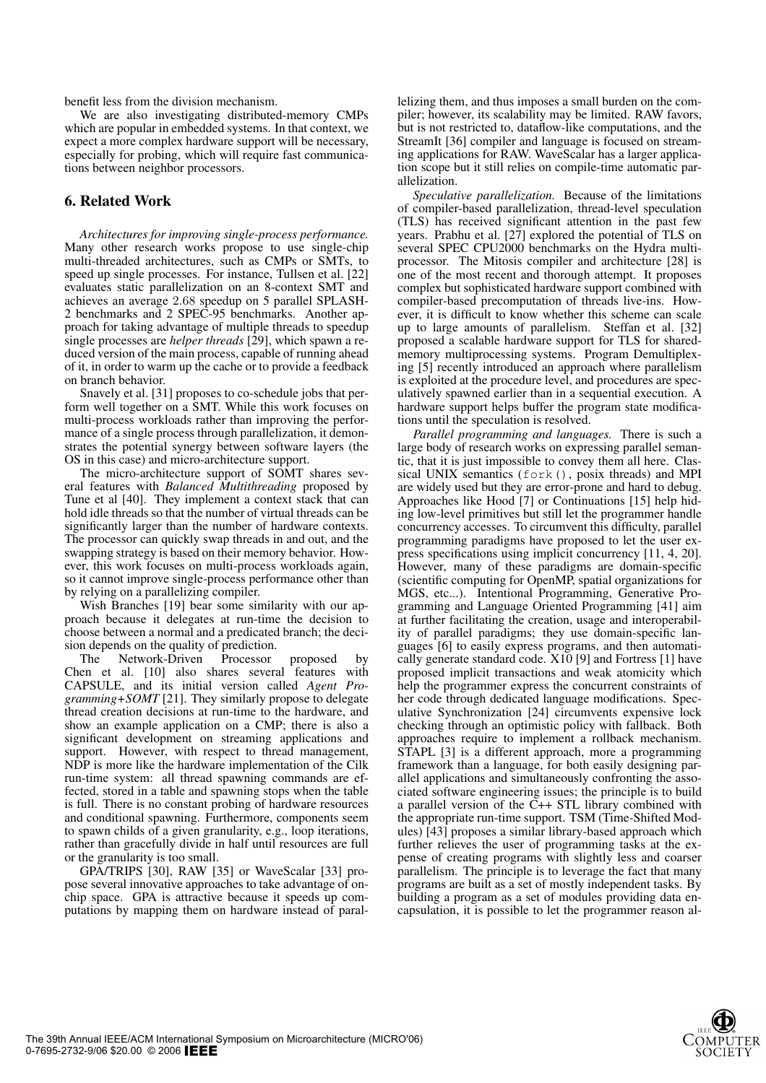benefit less from the division mechanism.

We are also investigating distributed-memory CMPs which are popular in embedded systems. In that context, we expect a more complex hardware support will be necessary, especially for probing, which will require fast communications between neighbor processors.

### 6. Related Work

*Architectures for improving single-process performance.* Many other research works propose to use single-chip multi-threaded architectures, such as CMPs or SMTs, to speed up single processes. For instance, Tullsen et al. [22] evaluates static parallelization on an 8-context SMT and achieves an average 2.68 speedup on 5 parallel SPLASH-2 benchmarks and 2 SPEC-95 benchmarks. Another approach for taking advantage of multiple threads to speedup single processes are *helper threads* [29], which spawn a reduced version of the main process, capable of running ahead of it, in order to warm up the cache or to provide a feedback on branch behavior.

Snavely et al. [31] proposes to co-schedule jobs that perform well together on a SMT. While this work focuses on multi-process workloads rather than improving the performance of a single process through parallelization, it demonstrates the potential synergy between software layers (the OS in this case) and micro-architecture support.

The micro-architecture support of SOMT shares several features with *Balanced Multithreading* proposed by Tune et al [40]. They implement a context stack that can hold idle threads so that the number of virtual threads can be significantly larger than the number of hardware contexts. The processor can quickly swap threads in and out, and the swapping strategy is based on their memory behavior. However, this work focuses on multi-process workloads again, so it cannot improve single-process performance other than by relying on a parallelizing compiler.

Wish Branches [19] bear some similarity with our approach because it delegates at run-time the decision to choose between a normal and a predicated branch; the decision depends on the quality of prediction.

The Network-Driven Processor proposed by Chen et al. [10] also shares several features with CAPSULE, and its initial version called *Agent Programming+SOMT* [21]. They similarly propose to delegate thread creation decisions at run-time to the hardware, and show an example application on a CMP; there is also a significant development on streaming applications and support. However, with respect to thread management, NDP is more like the hardware implementation of the Cilk run-time system: all thread spawning commands are effected, stored in a table and spawning stops when the table is full. There is no constant probing of hardware resources and conditional spawning. Furthermore, components seem to spawn childs of a given granularity, e.g., loop iterations, rather than gracefully divide in half until resources are full or the granularity is too small.

GPA/TRIPS [30], RAW [35] or WaveScalar [33] propose several innovative approaches to take advantage of onchip space. GPA is attractive because it speeds up computations by mapping them on hardware instead of parallelizing them, and thus imposes a small burden on the compiler; however, its scalability may be limited. RAW favors, but is not restricted to, dataflow-like computations, and the StreamIt [36] compiler and language is focused on streaming applications for RAW. WaveScalar has a larger application scope but it still relies on compile-time automatic parallelization.

*Speculative parallelization.* Because of the limitations of compiler-based parallelization, thread-level speculation (TLS) has received significant attention in the past few years. Prabhu et al. [27] explored the potential of TLS on several SPEC CPU2000 benchmarks on the Hydra multiprocessor. The Mitosis compiler and architecture [28] is one of the most recent and thorough attempt. It proposes complex but sophisticated hardware support combined with compiler-based precomputation of threads live-ins. However, it is difficult to know whether this scheme can scale up to large amounts of parallelism. Steffan et al. [32] proposed a scalable hardware support for TLS for sharedmemory multiprocessing systems. Program Demultiplexing [5] recently introduced an approach where parallelism is exploited at the procedure level, and procedures are speculatively spawned earlier than in a sequential execution. A hardware support helps buffer the program state modifications until the speculation is resolved.

*Parallel programming and languages.* There is such a large body of research works on expressing parallel semantic, that it is just impossible to convey them all here. Classical UNIX semantics (fork(), posix threads) and MPI are widely used but they are error-prone and hard to debug. Approaches like Hood [7] or Continuations [15] help hiding low-level primitives but still let the programmer handle concurrency accesses. To circumvent this difficulty, parallel programming paradigms have proposed to let the user express specifications using implicit concurrency [11, 4, 20]. However, many of these paradigms are domain-specific (scientific computing for OpenMP, spatial organizations for MGS, etc...). Intentional Programming, Generative Programming and Language Oriented Programming [41] aim at further facilitating the creation, usage and interoperability of parallel paradigms; they use domain-specific languages [6] to easily express programs, and then automatically generate standard code. X10 [9] and Fortress [1] have proposed implicit transactions and weak atomicity which help the programmer express the concurrent constraints of her code through dedicated language modifications. Speculative Synchronization [24] circumvents expensive lock checking through an optimistic policy with fallback. Both approaches require to implement a rollback mechanism. STAPL [3] is a different approach, more a programming framework than a language, for both easily designing parallel applications and simultaneously confronting the associated software engineering issues; the principle is to build a parallel version of the C++ STL library combined with the appropriate run-time support. TSM (Time-Shifted Modules) [43] proposes a similar library-based approach which further relieves the user of programming tasks at the expense of creating programs with slightly less and coarser parallelism. The principle is to leverage the fact that many programs are built as a set of mostly independent tasks. By building a program as a set of modules providing data encapsulation, it is possible to let the programmer reason al-

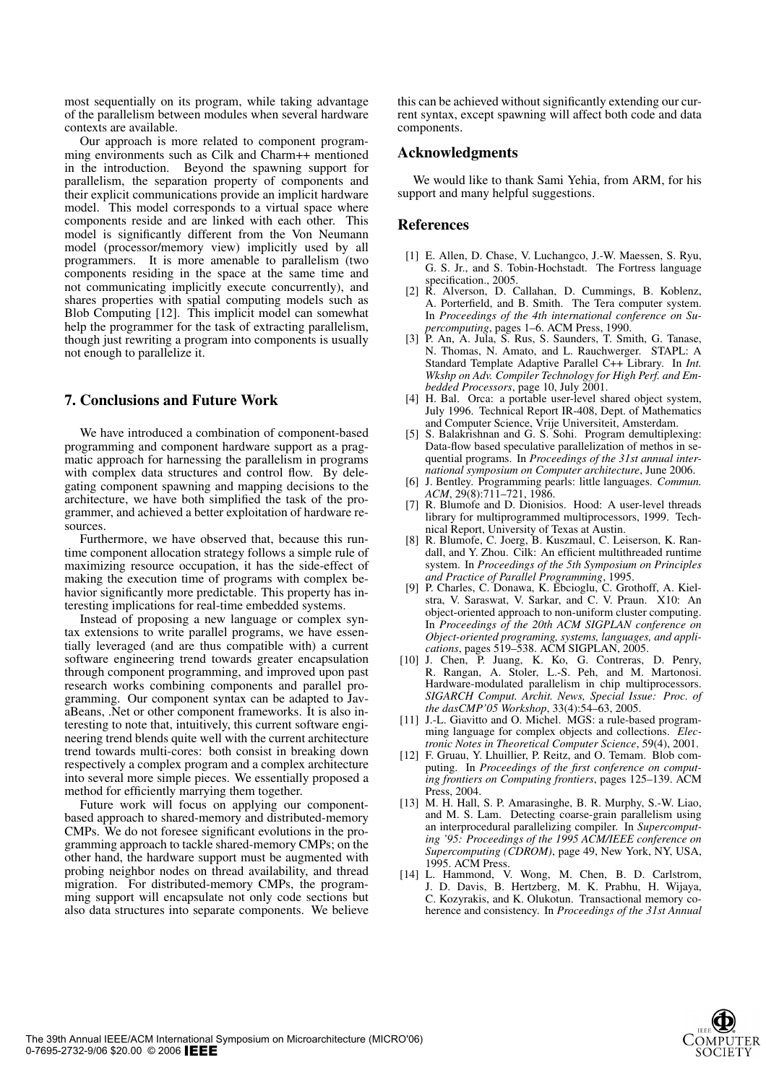most sequentially on its program, while taking advantage of the parallelism between modules when several hardware contexts are available.

Our approach is more related to component programming environments such as Cilk and Charm++ mentioned in the introduction. Beyond the spawning support for parallelism, the separation property of components and their explicit communications provide an implicit hardware model. This model corresponds to a virtual space where components reside and are linked with each other. This model is significantly different from the Von Neumann model (processor/memory view) implicitly used by all programmers. It is more amenable to parallelism (two components residing in the space at the same time and not communicating implicitly execute concurrently), and shares properties with spatial computing models such as Blob Computing [12]. This implicit model can somewhat help the programmer for the task of extracting parallelism, though just rewriting a program into components is usually not enough to parallelize it.

## 7. Conclusions and Future Work

We have introduced a combination of component-based programming and component hardware support as a pragmatic approach for harnessing the parallelism in programs with complex data structures and control flow. By delegating component spawning and mapping decisions to the architecture, we have both simplified the task of the programmer, and achieved a better exploitation of hardware resources.

Furthermore, we have observed that, because this runtime component allocation strategy follows a simple rule of maximizing resource occupation, it has the side-effect of making the execution time of programs with complex behavior significantly more predictable. This property has interesting implications for real-time embedded systems.

Instead of proposing a new language or complex syntax extensions to write parallel programs, we have essentially leveraged (and are thus compatible with) a current software engineering trend towards greater encapsulation through component programming, and improved upon past research works combining components and parallel programming. Our component syntax can be adapted to JavaBeans, .Net or other component frameworks. It is also interesting to note that, intuitively, this current software engineering trend blends quite well with the current architecture trend towards multi-cores: both consist in breaking down respectively a complex program and a complex architecture into several more simple pieces. We essentially proposed a method for efficiently marrying them together.

Future work will focus on applying our componentbased approach to shared-memory and distributed-memory CMPs. We do not foresee significant evolutions in the programming approach to tackle shared-memory CMPs; on the other hand, the hardware support must be augmented with probing neighbor nodes on thread availability, and thread migration. For distributed-memory CMPs, the programming support will encapsulate not only code sections but also data structures into separate components. We believe this can be achieved without significantly extending our current syntax, except spawning will affect both code and data components.

#### Acknowledgments

We would like to thank Sami Yehia, from ARM, for his support and many helpful suggestions.

## References

- [1] E. Allen, D. Chase, V. Luchangco, J.-W. Maessen, S. Ryu, G. S. Jr., and S. Tobin-Hochstadt. The Fortress language specification., 2005.
- [2] R. Alverson, D. Callahan, D. Cummings, B. Koblenz, A. Porterfield, and B. Smith. The Tera computer system. In *Proceedings of the 4th international conference on Supercomputing*, pages 1–6. ACM Press, 1990.
- [3] P. An, A. Jula, S. Rus, S. Saunders, T. Smith, G. Tanase, N. Thomas, N. Amato, and L. Rauchwerger. STAPL: A Standard Template Adaptive Parallel C++ Library. In *Int. Wkshp on Adv. Compiler Technology for High Perf. and Embedded Processors*, page 10, July 2001.
- [4] H. Bal. Orca: a portable user-level shared object system, July 1996. Technical Report IR-408, Dept. of Mathematics and Computer Science, Vrije Universiteit, Amsterdam.
- [5] S. Balakrishnan and G. S. Sohi. Program demultiplexing: Data-flow based speculative parallelization of methos in sequential programs. In *Proceedings of the 31st annual international symposium on Computer architecture*, June 2006.
- [6] J. Bentley. Programming pearls: little languages. *Commun. ACM*, 29(8):711–721, 1986.
- [7] R. Blumofe and D. Dionisios. Hood: A user-level threads library for multiprogrammed multiprocessors, 1999. Technical Report, University of Texas at Austin.
- [8] R. Blumofe, C. Joerg, B. Kuszmaul, C. Leiserson, K. Randall, and Y. Zhou. Cilk: An efficient multithreaded runtime system. In *Proceedings of the 5th Symposium on Principles and Practice of Parallel Programming*, 1995.
- [9] P. Charles, C. Donawa, K. Ebcioglu, C. Grothoff, A. Kielstra, V. Saraswat, V. Sarkar, and C. V. Praun. X10: An object-oriented approach to non-uniform cluster computing. In *Proceedings of the 20th ACM SIGPLAN conference on Object-oriented programing, systems, languages, and applications*, pages 519–538. ACM SIGPLAN, 2005.
- [10] J. Chen, P. Juang, K. Ko, G. Contreras, D. Penry, R. Rangan, A. Stoler, L.-S. Peh, and M. Martonosi. Hardware-modulated parallelism in chip multiprocessors. *SIGARCH Comput. Archit. News, Special Issue: Proc. of the dasCMP'05 Workshop*, 33(4):54–63, 2005.
- [11] J.-L. Giavitto and O. Michel. MGS: a rule-based programming language for complex objects and collections. *Electronic Notes in Theoretical Computer Science*, 59(4), 2001.
- [12] F. Gruau, Y. Lhuillier, P. Reitz, and O. Temam. Blob computing. In *Proceedings of the first conference on computing frontiers on Computing frontiers*, pages 125–139. ACM Press, 2004.
- [13] M. H. Hall, S. P. Amarasinghe, B. R. Murphy, S.-W. Liao, and M. S. Lam. Detecting coarse-grain parallelism using an interprocedural parallelizing compiler. In *Supercomputing '95: Proceedings of the 1995 ACM/IEEE conference on Supercomputing (CDROM)*, page 49, New York, NY, USA, 1995. ACM Press.
- [14] L. Hammond, V. Wong, M. Chen, B. D. Carlstrom, J. D. Davis, B. Hertzberg, M. K. Prabhu, H. Wijaya, C. Kozyrakis, and K. Olukotun. Transactional memory coherence and consistency. In *Proceedings of the 31st Annual*